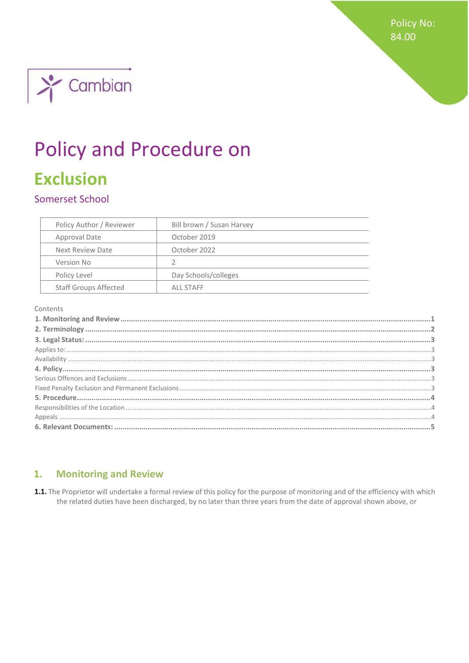**Policy No:** 84.00



# **Policy and Procedure on Exclusion**

# Somerset School

| Policy Author / Reviewer     | Bill brown / Susan Harvey |
|------------------------------|---------------------------|
| Approval Date                | October 2019              |
| Next Review Date             | October 2022              |
| Version No                   | 2                         |
| Policy Level                 | Day Schools/colleges      |
| <b>Staff Groups Affected</b> | ALL STAFF                 |

#### Contents

#### <span id="page-0-0"></span>**Monitoring and Review** 1.

1.1. The Proprietor will undertake a formal review of this policy for the purpose of monitoring and of the efficiency with which the related duties have been discharged, by no later than three years from the date of approval shown above, or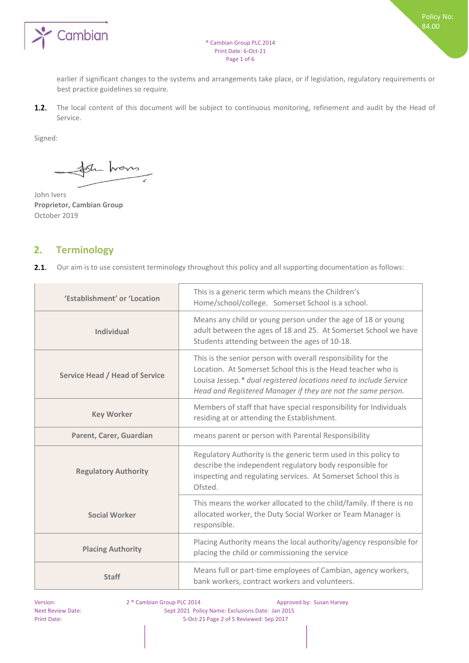

earlier if significant changes to the systems and arrangements take place, or if legislation, regulatory requirements or best practice guidelines so require.

 $1.2.$ The local content of this document will be subject to continuous monitoring, refinement and audit by the Head of Service.

Signed:

Ste hans

John Ivers **Proprietor, Cambian Group**  October 2019

# <span id="page-1-0"></span>**2. Terminology**

 $2.1.$ Our aim is to use consistent terminology throughout this policy and all supporting documentation as follows:

| 'Establishment' or 'Location          | This is a generic term which means the Children's<br>Home/school/college. Somerset School is a school.                                                                                                                                                             |
|---------------------------------------|--------------------------------------------------------------------------------------------------------------------------------------------------------------------------------------------------------------------------------------------------------------------|
| <b>Individual</b>                     | Means any child or young person under the age of 18 or young<br>adult between the ages of 18 and 25. At Somerset School we have<br>Students attending between the ages of 10-18.                                                                                   |
| <b>Service Head / Head of Service</b> | This is the senior person with overall responsibility for the<br>Location. At Somerset School this is the Head teacher who is<br>Louisa Jessep.* dual registered locations need to include Service<br>Head and Registered Manager if they are not the same person. |
| <b>Key Worker</b>                     | Members of staff that have special responsibility for Individuals<br>residing at or attending the Establishment.                                                                                                                                                   |
| Parent, Carer, Guardian               | means parent or person with Parental Responsibility                                                                                                                                                                                                                |
| <b>Regulatory Authority</b>           | Regulatory Authority is the generic term used in this policy to<br>describe the independent regulatory body responsible for<br>inspecting and regulating services. At Somerset School this is<br>Ofsted.                                                           |
| <b>Social Worker</b>                  | This means the worker allocated to the child/family. If there is no<br>allocated worker, the Duty Social Worker or Team Manager is<br>responsible.                                                                                                                 |
| <b>Placing Authority</b>              | Placing Authority means the local authority/agency responsible for<br>placing the child or commissioning the service                                                                                                                                               |
| <b>Staff</b>                          | Means full or part-time employees of Cambian, agency workers,<br>bank workers, contract workers and volunteers.                                                                                                                                                    |

Version: 2 ® Cambian Group PLC 2014 Approved by: Susan Harvey Next Review Date: Sept 2021 Policy Name: Exclusions Date: Jan 2015 Print Date: 5-Oct-21 Page 2 of 5 Reviewed: Sep 2017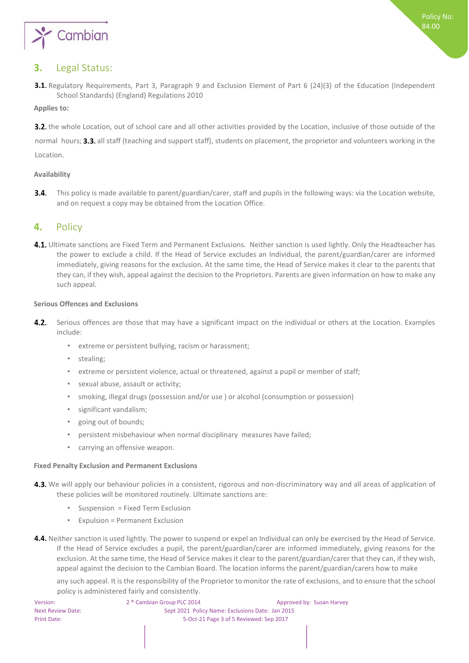

# <span id="page-2-0"></span>**3.** Legal Status:

3.1. Regulatory Requirements, Part 3, Paragraph 9 and Exclusion Element of Part 6 (24)(3) of the Education (Independent School Standards) (England) Regulations 2010

<span id="page-2-1"></span>**Applies to:** 

3.2. the whole Location, out of school care and all other activities provided by the Location, inclusive of those outside of the

normal hours; 3.3. all staff (teaching and support staff), students on placement, the proprietor and volunteers working in the Location.

## <span id="page-2-2"></span>**Availability**

This policy is made available to parent/guardian/carer, staff and pupils in the following ways: via the Location website,  $3.4.$ and on request a copy may be obtained from the Location Office.

# <span id="page-2-3"></span>**4.** Policy

4.1. Ultimate sanctions are Fixed Term and Permanent Exclusions. Neither sanction is used lightly. Only the Headteacher has the power to exclude a child. If the Head of Service excludes an Individual, the parent/guardian/carer are informed immediately, giving reasons for the exclusion. At the same time, the Head of Service makes it clear to the parents that they can, if they wish, appeal against the decision to the Proprietors. Parents are given information on how to make any such appeal.

#### <span id="page-2-4"></span>**Serious Offences and Exclusions**

- $4.2.$ Serious offences are those that may have a significant impact on the individual or others at the Location. Examples include:
	- extreme or persistent bullying, racism or harassment;
	- stealing;
	- extreme or persistent violence, actual or threatened, against a pupil or member of staff;
	- sexual abuse, assault or activity;
	- smoking, illegal drugs (possession and/or use ) or alcohol (consumption or possession)
	- significant vandalism;
	- going out of bounds;
	- persistent misbehaviour when normal disciplinary measures have failed;
	- carrying an offensive weapon.

#### <span id="page-2-5"></span>**Fixed Penalty Exclusion and Permanent Exclusions**

- 4.3. We will apply our behaviour policies in a consistent, rigorous and non-discriminatory way and all areas of application of these policies will be monitored routinely. Ultimate sanctions are:
	- Suspension = Fixed Term Exclusion
	- Expulsion = Permanent Exclusion
- 4.4. Neither sanction is used lightly. The power to suspend or expel an Individual can only be exercised by the Head of Service. If the Head of Service excludes a pupil, the parent/guardian/carer are informed immediately, giving reasons for the exclusion. At the same time, the Head of Service makes it clear to the parent/guardian/carer that they can, if they wish, appeal against the decision to the Cambian Board. The location informs the parent/guardian/carers how to make

any such appeal. It is the responsibility of the Proprietor to monitor the rate of exclusions, and to ensure that the school policy is administered fairly and consistently.

| Version:                 |
|--------------------------|
| <b>Next Review Date:</b> |
| <b>Print Date:</b>       |

2<sup>®</sup> Cambian Group PLC 2014 **Approved by: Susan Harvey** Sept 2021 Policy Name: Exclusions Date: Jan 2015 5-Oct-21 Page 3 of 5 Reviewed: Sep 2017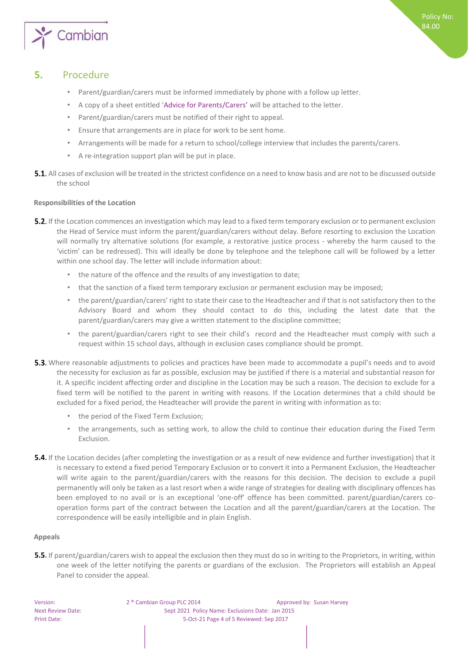

# **5.** Procedure

- <span id="page-3-0"></span>• Parent/guardian/carers must be informed immediately by phone with a follow up letter.
- A copy of a sheet entitled 'Advice for Parents/Carers' will be attached to the letter.
- Parent/guardian/carers must be notified of their right to appeal.
- Ensure that arrangements are in place for work to be sent home.
- Arrangements will be made for a return to school/college interview that includes the parents/carers.
- A re-integration support plan will be put in place.
- **5.1.** All cases of exclusion will be treated in the strictest confidence on a need to know basis and are not to be discussed outside the school

## <span id="page-3-1"></span>**Responsibilities of the Location**

- **5.2.** If the Location commences an investigation which may lead to a fixed term temporary exclusion or to permanent exclusion the Head of Service must inform the parent/guardian/carers without delay. Before resorting to exclusion the Location will normally try alternative solutions (for example, a restorative justice process - whereby the harm caused to the 'victim' can be redressed). This will ideally be done by telephone and the telephone call will be followed by a letter within one school day. The letter will include information about:
	- the nature of the offence and the results of any investigation to date;
	- that the sanction of a fixed term temporary exclusion or permanent exclusion may be imposed;
	- the parent/guardian/carers' right to state their case to the Headteacher and if that is not satisfactory then to the Advisory Board and whom they should contact to do this, including the latest date that the parent/guardian/carers may give a written statement to the discipline committee;
	- the parent/guardian/carers right to see their child's record and the Headteacher must comply with such a request within 15 school days, although in exclusion cases compliance should be prompt.
- 5.3. Where reasonable adjustments to policies and practices have been made to accommodate a pupil's needs and to avoid the necessity for exclusion as far as possible, exclusion may be justified if there is a material and substantial reason for it. A specific incident affecting order and discipline in the Location may be such a reason. The decision to exclude for a fixed term will be notified to the parent in writing with reasons. If the Location determines that a child should be excluded for a fixed period, the Headteacher will provide the parent in writing with information as to:
	- the period of the Fixed Term Exclusion;
	- the arrangements, such as setting work, to allow the child to continue their education during the Fixed Term Exclusion.
- 5.4. If the Location decides (after completing the investigation or as a result of new evidence and further investigation) that it is necessary to extend a fixed period Temporary Exclusion or to convert it into a Permanent Exclusion, the Headteacher will write again to the parent/guardian/carers with the reasons for this decision. The decision to exclude a pupil permanently will only be taken as a last resort when a wide range of strategies for dealing with disciplinary offences has been employed to no avail or is an exceptional 'one-off' offence has been committed. parent/guardian/carers cooperation forms part of the contract between the Location and all the parent/guardian/carers at the Location. The correspondence will be easily intelligible and in plain English.

## <span id="page-3-2"></span>**Appeals**

5.5. If parent/guardian/carers wish to appeal the exclusion then they must do so in writing to the Proprietors, in writing, within one week of the letter notifying the parents or guardians of the exclusion. The Proprietors will establish an Appeal Panel to consider the appeal.

Version: 2 ® Cambian Group PLC 2014 Approved by: Susan Harvey Next Review Date: Sept 2021 Policy Name: Exclusions Date: Jan 2015 Print Date: 5-Oct-21 Page 4 of 5 Reviewed: Sep 2017